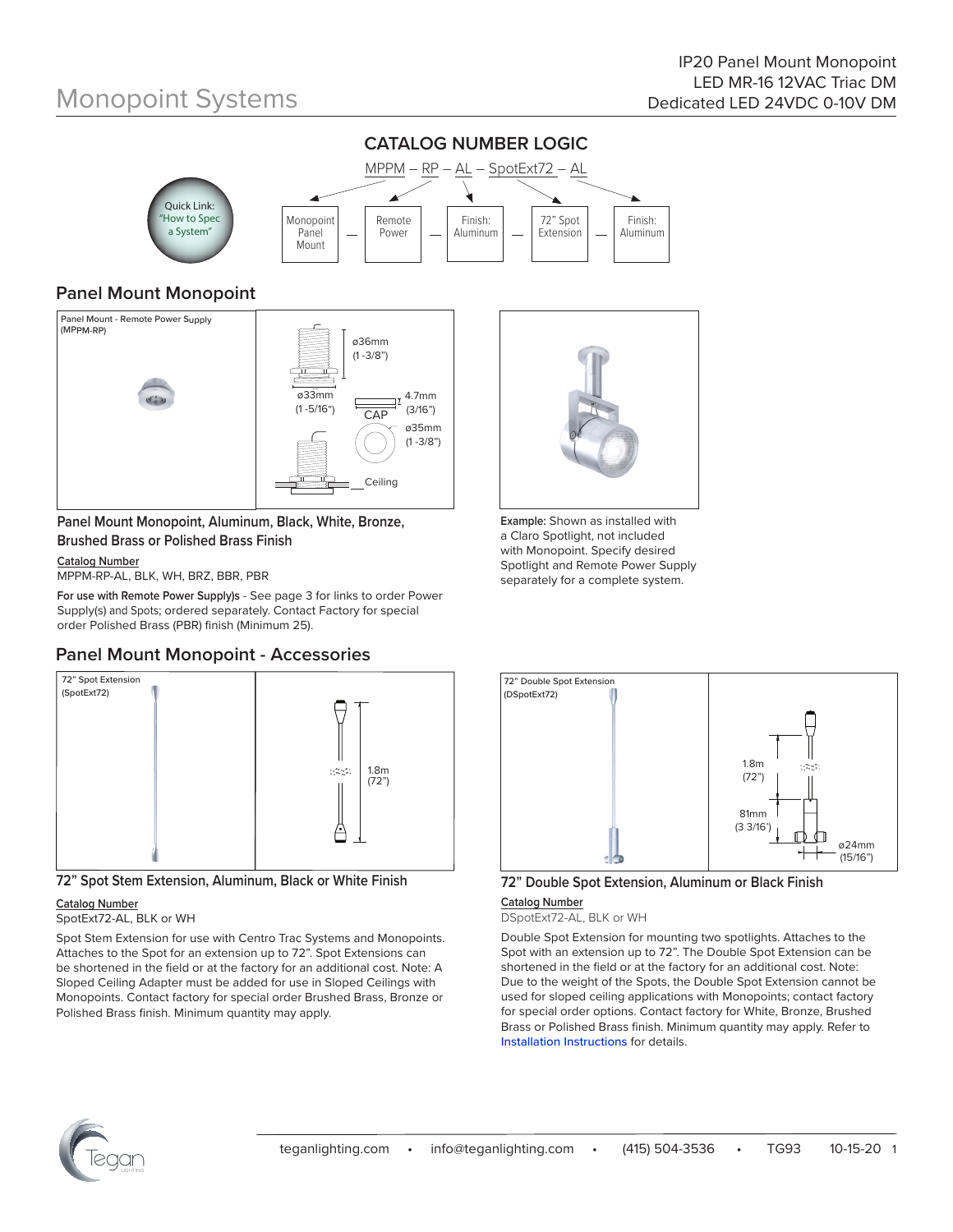

### **Panel Mount Monopoint**



**Panel Mount Monopoint, Aluminum, Black, White, Bronze, Brushed Brass or Polished Brass Finish**

#### **Catalog Number**

MPPM-RP-AL, BLK, WH, BRZ, BBR, PBR

**For use with Remote Power Supply)s** - See page 3 for links to order Power Supply(s) and Spots; ordered separately. Contact Factory for special order Polished Brass (PBR) finish (Minimum 25).

### **Panel Mount Monopoint - Accessories**





#### **Catalog Number**

#### SpotExt72-AL, BLK or WH

Spot Stem Extension for use with Centro Trac Systems and Monopoints. Attaches to the Spot for an extension up to 72". Spot Extensions can be shortened in the field or at the factory for an additional cost. Note: A Sloped Ceiling Adapter must be added for use in Sloped Ceilings with Monopoints. Contact factory for special order Brushed Brass, Bronze or Polished Brass finish. Minimum quantity may apply.



**Example:** Shown as installed with a Claro Spotlight, not included with Monopoint. Specify desired Spotlight and Remote Power Supply separately for a complete system.



#### **72" Double Spot Extension, Aluminum or Black Finish**

**Catalog Number**

DSpotExt72-AL, BLK or WH

Double Spot Extension for mounting two spotlights. Attaches to the Spot with an extension up to 72". The Double Spot Extension can be shortened in the field or at the factory for an additional cost. Note: Due to the weight of the Spots, the Double Spot Extension cannot be used for sloped ceiling applications with Monopoints; contact factory for special order options. Contact factory for White, Bronze, Brushed Brass or Polished Brass finish. Minimum quantity may apply. Refer to Installation Instructions for details.

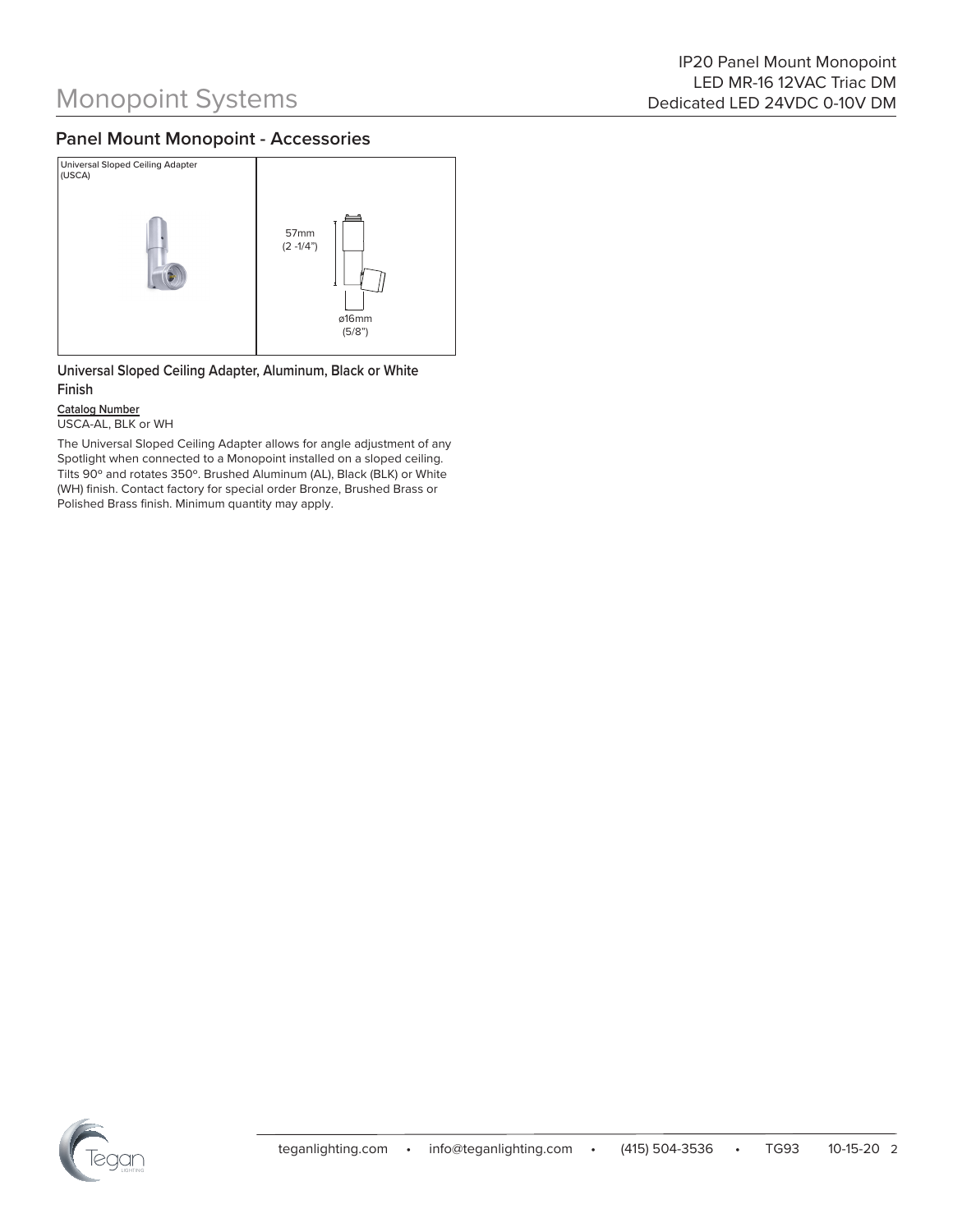### **Panel Mount Monopoint - Accessories**



**Universal Sloped Ceiling Adapter, Aluminum, Black or White Finish**

**Catalog Number** USCA-AL, BLK or WH

The Universal Sloped Ceiling Adapter allows for angle adjustment of any Spotlight when connected to a Monopoint installed on a sloped ceiling. Tilts 90º and rotates 350º. Brushed Aluminum (AL), Black (BLK) or White (WH) finish. Contact factory for special order Bronze, Brushed Brass or Polished Brass finish. Minimum quantity may apply.

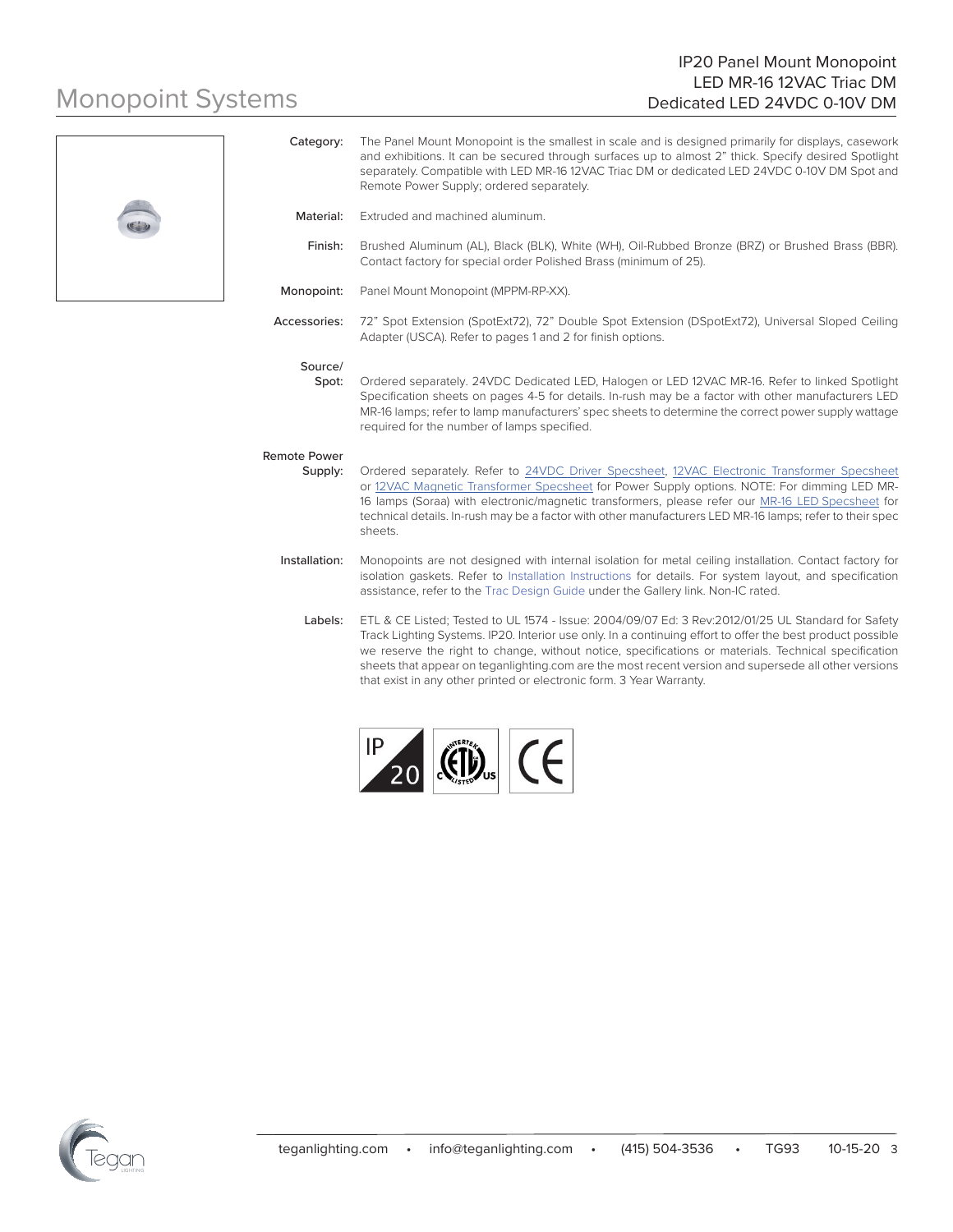### IP20 Panel Mount Monopoint LED MR-16 12VAC Triac DM Dedicated LED 24VDC 0-10V DM

# Monopoint Systems



|                                | and exhibitions. It can be secured through surfaces up to almost 2" thick. Specify desired Spotlight<br>separately. Compatible with LED MR-16 12VAC Triac DM or dedicated LED 24VDC 0-10V DM Spot and<br>Remote Power Supply; ordered separately.                                                                                                                                                                     |
|--------------------------------|-----------------------------------------------------------------------------------------------------------------------------------------------------------------------------------------------------------------------------------------------------------------------------------------------------------------------------------------------------------------------------------------------------------------------|
| Material:                      | Extruded and machined aluminum.                                                                                                                                                                                                                                                                                                                                                                                       |
| Finish:                        | Brushed Aluminum (AL), Black (BLK), White (WH), Oil-Rubbed Bronze (BRZ) or Brushed Brass (BBR).<br>Contact factory for special order Polished Brass (minimum of 25).                                                                                                                                                                                                                                                  |
| Monopoint:                     | Panel Mount Monopoint (MPPM-RP-XX).                                                                                                                                                                                                                                                                                                                                                                                   |
| Accessories:                   | 72" Spot Extension (SpotExt72), 72" Double Spot Extension (DSpotExt72), Universal Sloped Ceiling<br>Adapter (USCA). Refer to pages 1 and 2 for finish options.                                                                                                                                                                                                                                                        |
| Source/<br>Spot:               | Ordered separately. 24VDC Dedicated LED, Halogen or LED 12VAC MR-16. Refer to linked Spotlight<br>Specification sheets on pages 4-5 for details. In-rush may be a factor with other manufacturers LED<br>MR-16 lamps; refer to lamp manufacturers' spec sheets to determine the correct power supply wattage<br>required for the number of lamps specified.                                                           |
| <b>Remote Power</b><br>Supply: | Ordered separately. Refer to 24VDC Driver Specsheet, 12VAC Electronic Transformer Specsheet<br>or 12VAC Magnetic Transformer Specsheet for Power Supply options. NOTE: For dimming LED MR-<br>16 lamps (Soraa) with electronic/magnetic transformers, please refer our MR-16 LED Specsheet for<br>technical details. In-rush may be a factor with other manufacturers LED MR-16 lamps; refer to their spec<br>sheets. |
| Installation:                  | Monopoints are not designed with internal isolation for metal ceiling installation. Contact factory for<br>isolation gaskets. Refer to Installation Instructions for details. For system layout, and specification<br>assistance, refer to the Trac Design Guide under the Gallery link. Non-IC rated.                                                                                                                |
| Labels:                        | ETL & CE Listed; Tested to UL 1574 - Issue: 2004/09/07 Ed: 3 Rev:2012/01/25 UL Standard for Safety<br>Track Lighting Systems. IP20. Interior use only. In a continuing effort to offer the best product possible<br>we reserve the right to change without notice specifications or materials. Technical specification                                                                                                |

Category: The Panel Mount Monopoint is the smallest in scale and is designed primarily for displays, casework

right to change, without notice, specifications or mat sheets that appear on teganlighting.com are the most recent version and supersede all other versions that exist in any other printed or electronic form. 3 Year Warranty.



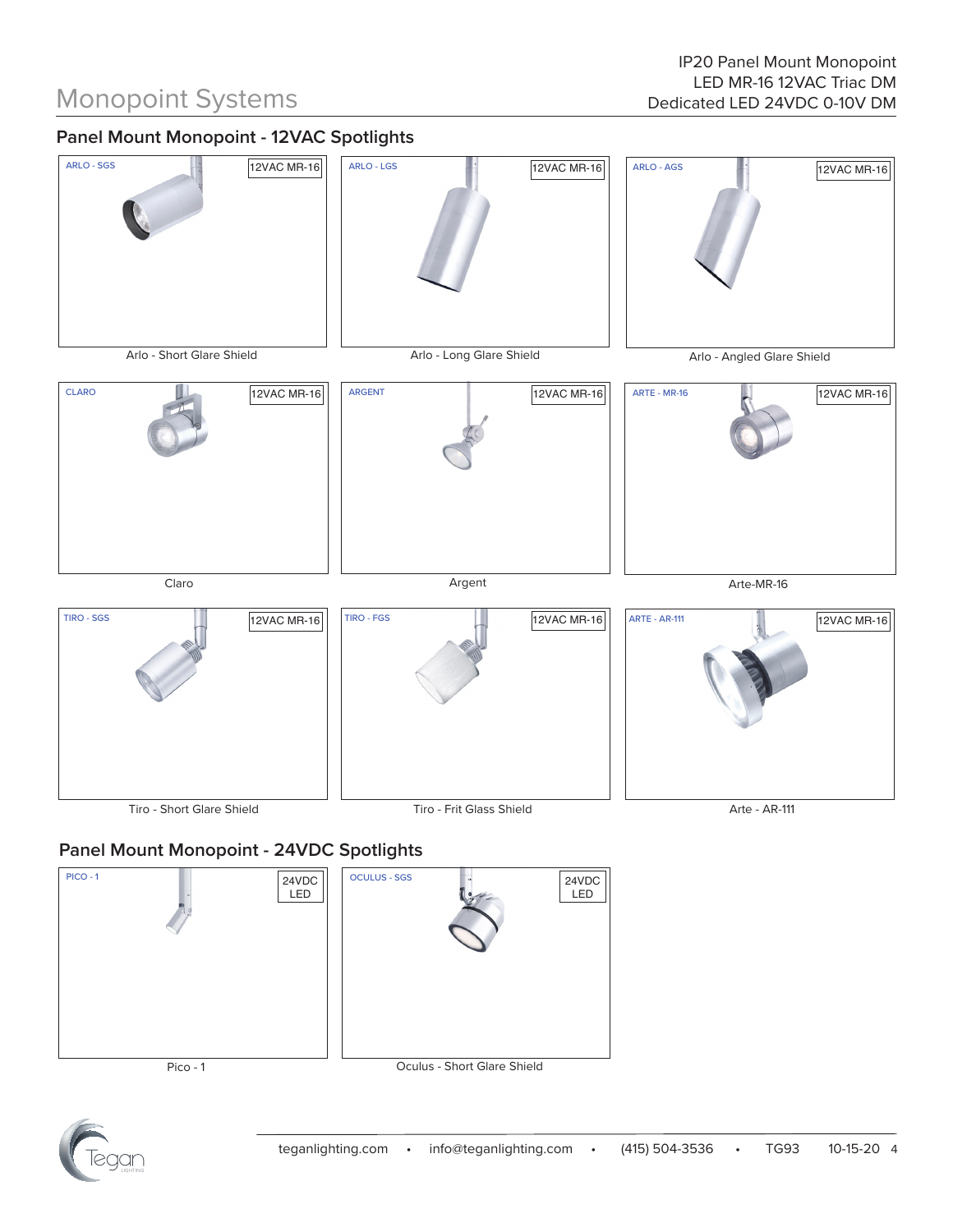## **Panel Mount Monopoint - 12VAC Spotlights**



### **Panel Mount Monopoint - 24VDC Spotlights**